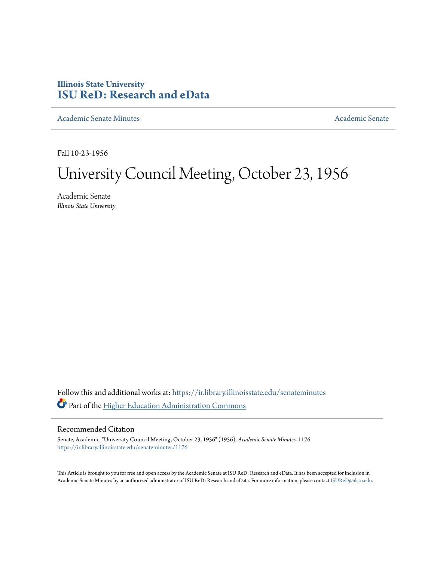## **Illinois State University [ISU ReD: Research and eData](https://ir.library.illinoisstate.edu?utm_source=ir.library.illinoisstate.edu%2Fsenateminutes%2F1176&utm_medium=PDF&utm_campaign=PDFCoverPages)**

[Academic Senate Minutes](https://ir.library.illinoisstate.edu/senateminutes?utm_source=ir.library.illinoisstate.edu%2Fsenateminutes%2F1176&utm_medium=PDF&utm_campaign=PDFCoverPages) [Academic Senate](https://ir.library.illinoisstate.edu/senate?utm_source=ir.library.illinoisstate.edu%2Fsenateminutes%2F1176&utm_medium=PDF&utm_campaign=PDFCoverPages) Academic Senate

Fall 10-23-1956

## University Council Meeting, October 23, 1956

Academic Senate *Illinois State University*

Follow this and additional works at: [https://ir.library.illinoisstate.edu/senateminutes](https://ir.library.illinoisstate.edu/senateminutes?utm_source=ir.library.illinoisstate.edu%2Fsenateminutes%2F1176&utm_medium=PDF&utm_campaign=PDFCoverPages) Part of the [Higher Education Administration Commons](http://network.bepress.com/hgg/discipline/791?utm_source=ir.library.illinoisstate.edu%2Fsenateminutes%2F1176&utm_medium=PDF&utm_campaign=PDFCoverPages)

## Recommended Citation

Senate, Academic, "University Council Meeting, October 23, 1956" (1956). *Academic Senate Minutes*. 1176. [https://ir.library.illinoisstate.edu/senateminutes/1176](https://ir.library.illinoisstate.edu/senateminutes/1176?utm_source=ir.library.illinoisstate.edu%2Fsenateminutes%2F1176&utm_medium=PDF&utm_campaign=PDFCoverPages)

This Article is brought to you for free and open access by the Academic Senate at ISU ReD: Research and eData. It has been accepted for inclusion in Academic Senate Minutes by an authorized administrator of ISU ReD: Research and eData. For more information, please contact [ISUReD@ilstu.edu.](mailto:ISUReD@ilstu.edu)